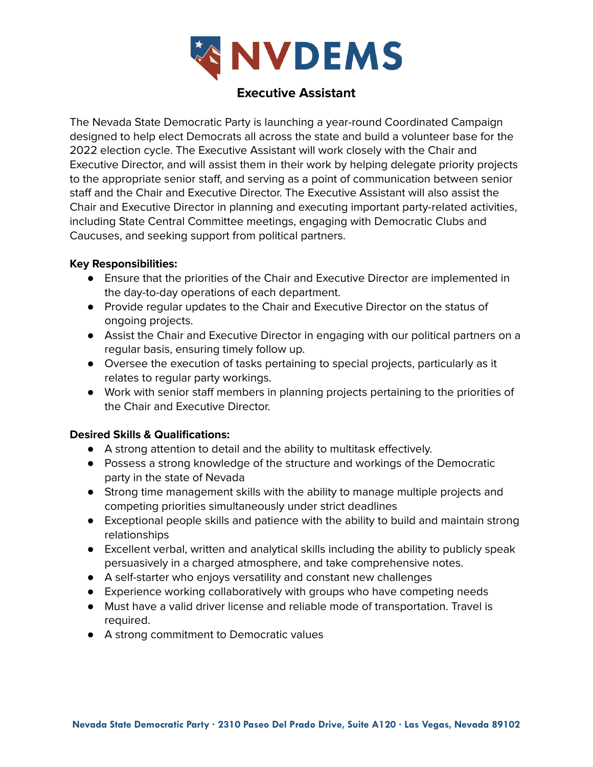

# **Executive Assistant**

The Nevada State Democratic Party is launching a year-round Coordinated Campaign designed to help elect Democrats all across the state and build a volunteer base for the 2022 election cycle. The Executive Assistant will work closely with the Chair and Executive Director, and will assist them in their work by helping delegate priority projects to the appropriate senior staff, and serving as a point of communication between senior staff and the Chair and Executive Director. The Executive Assistant will also assist the Chair and Executive Director in planning and executing important party-related activities, including State Central Committee meetings, engaging with Democratic Clubs and Caucuses, and seeking support from political partners.

## **Key Responsibilities:**

- Ensure that the priorities of the Chair and Executive Director are implemented in the day-to-day operations of each department.
- Provide regular updates to the Chair and Executive Director on the status of ongoing projects.
- Assist the Chair and Executive Director in engaging with our political partners on a regular basis, ensuring timely follow up.
- Oversee the execution of tasks pertaining to special projects, particularly as it relates to regular party workings.
- Work with senior staff members in planning projects pertaining to the priorities of the Chair and Executive Director.

# **Desired Skills & Qualifications:**

- A strong attention to detail and the ability to multitask effectively.
- Possess a strong knowledge of the structure and workings of the Democratic party in the state of Nevada
- Strong time management skills with the ability to manage multiple projects and competing priorities simultaneously under strict deadlines
- Exceptional people skills and patience with the ability to build and maintain strong relationships
- Excellent verbal, written and analytical skills including the ability to publicly speak persuasively in a charged atmosphere, and take comprehensive notes.
- A self-starter who enjoys versatility and constant new challenges
- Experience working collaboratively with groups who have competing needs
- Must have a valid driver license and reliable mode of transportation. Travel is required.
- A strong commitment to Democratic values